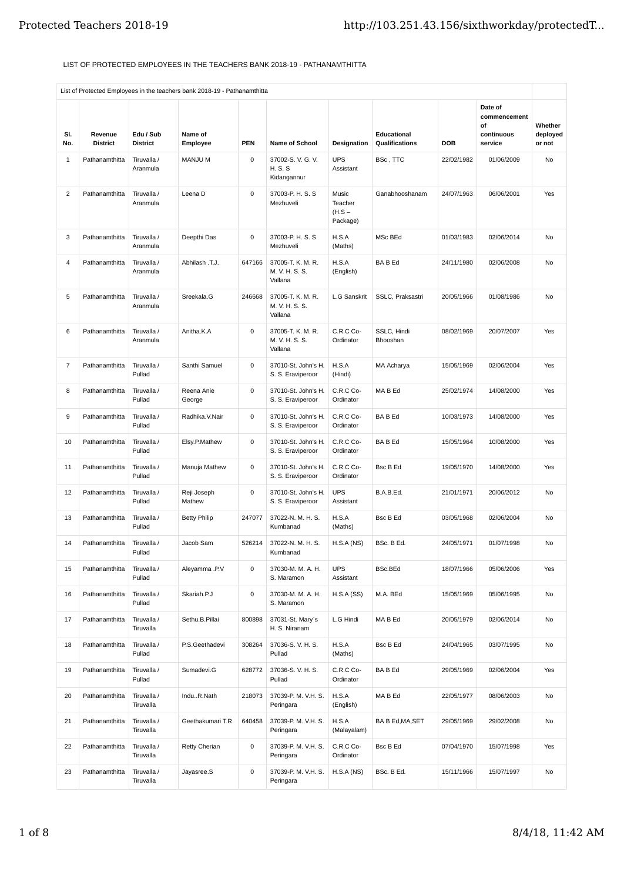## LIST OF PROTECTED EMPLOYEES IN THE TEACHERS BANK 2018-19 - PATHANAMTHITTA

|                |                            |                              | List of Protected Employees in the teachers bank 2018-19 - Pathanamthitta |             |                                                |                                          |                               |            |                                                        |                               |
|----------------|----------------------------|------------------------------|---------------------------------------------------------------------------|-------------|------------------------------------------------|------------------------------------------|-------------------------------|------------|--------------------------------------------------------|-------------------------------|
| SI.<br>No.     | Revenue<br><b>District</b> | Edu / Sub<br><b>District</b> | Name of<br>Employee                                                       | PEN         | Name of School                                 | <b>Designation</b>                       | Educational<br>Qualifications | DOB        | Date of<br>commencement<br>οf<br>continuous<br>service | Whether<br>deployed<br>or not |
| 1              | Pathanamthitta             | Tiruvalla /<br>Aranmula      | MANJU M                                                                   | $\mathsf 0$ | 37002-S.V.G.V.<br><b>H.S.S</b><br>Kidangannur  | <b>UPS</b><br>Assistant                  | BSc, TTC                      | 22/02/1982 | 01/06/2009                                             | No                            |
| $\overline{c}$ | Pathanamthitta             | Tiruvalla /<br>Aranmula      | Leena D                                                                   | 0           | 37003-P. H. S. S<br>Mezhuveli                  | Music<br>Teacher<br>$(H.S -$<br>Package) | Ganabhooshanam                | 24/07/1963 | 06/06/2001                                             | Yes                           |
| 3              | Pathanamthitta             | Tiruvalla /<br>Aranmula      | Deepthi Das                                                               | 0           | 37003-P. H. S. S.<br>Mezhuveli                 | H.S.A<br>(Maths)                         | MSc BEd                       | 01/03/1983 | 02/06/2014                                             | No                            |
| 4              | Pathanamthitta             | Tiruvalla /<br>Aranmula      | Abhilash .T.J.                                                            | 647166      | 37005-T. K. M. R.<br>M. V. H. S. S.<br>Vallana | H.S.A<br>(English)                       | BA B Ed                       | 24/11/1980 | 02/06/2008                                             | No                            |
| 5              | Pathanamthitta             | Tiruvalla /<br>Aranmula      | Sreekala.G                                                                | 246668      | 37005-T. K. M. R.<br>M. V. H. S. S.<br>Vallana | <b>L.G Sanskrit</b>                      | SSLC, Praksastri              | 20/05/1966 | 01/08/1986                                             | No                            |
| 6              | Pathanamthitta             | Tiruvalla /<br>Aranmula      | Anitha.K.A                                                                | 0           | 37005-T. K. M. R.<br>M. V. H. S. S.<br>Vallana | C.R.C Co-<br>Ordinator                   | SSLC, Hindi<br>Bhooshan       | 08/02/1969 | 20/07/2007                                             | Yes                           |
| 7              | Pathanamthitta             | Tiruvalla /<br>Pullad        | Santhi Samuel                                                             | $\mathsf 0$ | 37010-St. John's H.<br>S. S. Eraviperoor       | H.S.A<br>(Hindi)                         | MA Acharya                    | 15/05/1969 | 02/06/2004                                             | Yes                           |
| 8              | Pathanamthitta             | Tiruvalla /<br>Pullad        | Reena Anie<br>George                                                      | 0           | 37010-St. John's H.<br>S. S. Eraviperoor       | C.R.C Co-<br>Ordinator                   | MA B Ed                       | 25/02/1974 | 14/08/2000                                             | Yes                           |
| 9              | Pathanamthitta             | Tiruvalla /<br>Pullad        | Radhika.V.Nair                                                            | 0           | 37010-St. John's H.<br>S. S. Eraviperoor       | C.R.C Co-<br>Ordinator                   | BA B Ed                       | 10/03/1973 | 14/08/2000                                             | Yes                           |
| 10             | Pathanamthitta             | Tiruvalla /<br>Pullad        | Elsy.P.Mathew                                                             | $\mathsf 0$ | 37010-St. John's H.<br>S. S. Eraviperoor       | C.R.C Co-<br>Ordinator                   | BA B Ed                       | 15/05/1964 | 10/08/2000                                             | Yes                           |
| 11             | Pathanamthitta             | Tiruvalla /<br>Pullad        | Manuja Mathew                                                             | 0           | 37010-St. John's H.<br>S. S. Eraviperoor       | C.R.C Co-<br>Ordinator                   | <b>Bsc B Ed</b>               | 19/05/1970 | 14/08/2000                                             | Yes                           |
| 12             | Pathanamthitta             | Tiruvalla /<br>Pullad        | Reji Joseph<br>Mathew                                                     | 0           | 37010-St. John's H.<br>S. S. Eraviperoor       | <b>UPS</b><br>Assistant                  | B.A.B.Ed.                     | 21/01/1971 | 20/06/2012                                             | No                            |
| 13             | Pathanamthitta             | Tiruvalla /<br>Pullad        | <b>Betty Philip</b>                                                       | 247077      | 37022-N. M. H. S.<br>Kumbanad                  | H.S.A<br>(Maths)                         | Bsc B Ed                      | 03/05/1968 | 02/06/2004                                             | No                            |
| 14             | Pathanamthitta             | Tiruvalla /<br>Pullad        | Jacob Sam                                                                 | 526214      | 37022-N. M. H. S.<br>Kumbanad                  | H.S.A(NS)                                | BSc. B Ed.                    | 24/05/1971 | 01/07/1998                                             | No                            |
| 15             | Pathanamthitta             | Tiruvalla /<br>Pullad        | Aleyamma .P.V                                                             | 0           | 37030-M. M. A. H.<br>S. Maramon                | <b>UPS</b><br>Assistant                  | BSc.BEd                       | 18/07/1966 | 05/06/2006                                             | Yes                           |
| 16             | Pathanamthitta             | Tiruvalla /<br>Pullad        | Skariah.P.J                                                               | 0           | 37030-M. M. A. H.<br>S. Maramon                | H.S.A(SS)                                | M.A. BEd                      | 15/05/1969 | 05/06/1995                                             | No                            |
| 17             | Pathanamthitta             | Tiruvalla /<br>Tiruvalla     | Sethu.B.Pillai                                                            | 800898      | 37031-St. Mary's<br>H. S. Niranam              | L.G Hindi                                | MA B Ed                       | 20/05/1979 | 02/06/2014                                             | No                            |
| 18             | Pathanamthitta             | Tiruvalla /<br>Pullad        | P.S.Geethadevi                                                            | 308264      | 37036-S.V.H.S.<br>Pullad                       | H.S.A<br>(Maths)                         | Bsc B Ed                      | 24/04/1965 | 03/07/1995                                             | No                            |
| 19             | Pathanamthitta             | Tiruvalla /<br>Pullad        | Sumadevi.G                                                                | 628772      | 37036-S.V.H.S.<br>Pullad                       | C.R.C Co-<br>Ordinator                   | <b>BABEd</b>                  | 29/05/1969 | 02/06/2004                                             | Yes                           |
| 20             | Pathanamthitta             | Tiruvalla /<br>Tiruvalla     | InduR.Nath                                                                | 218073      | 37039-P. M. V.H. S.<br>Peringara               | H.S.A<br>(English)                       | MA B Ed                       | 22/05/1977 | 08/06/2003                                             | No                            |
| 21             | Pathanamthitta             | Tiruvalla /<br>Tiruvalla     | Geethakumari T.R                                                          | 640458      | 37039-P. M. V.H. S.<br>Peringara               | H.S.A<br>(Malayalam)                     | BA B Ed, MA, SET              | 29/05/1969 | 29/02/2008                                             | No                            |
| 22             | Pathanamthitta             | Tiruvalla /<br>Tiruvalla     | Retty Cherian                                                             | $\mathsf 0$ | 37039-P. M. V.H. S.<br>Peringara               | C.R.C Co-<br>Ordinator                   | Bsc B Ed                      | 07/04/1970 | 15/07/1998                                             | Yes                           |
| 23             | Pathanamthitta             | Tiruvalla /<br>Tiruvalla     | Jayasree.S                                                                | 0           | 37039-P. M. V.H. S.<br>Peringara               | H.S.A(NS)                                | BSc. B Ed.                    | 15/11/1966 | 15/07/1997                                             | No                            |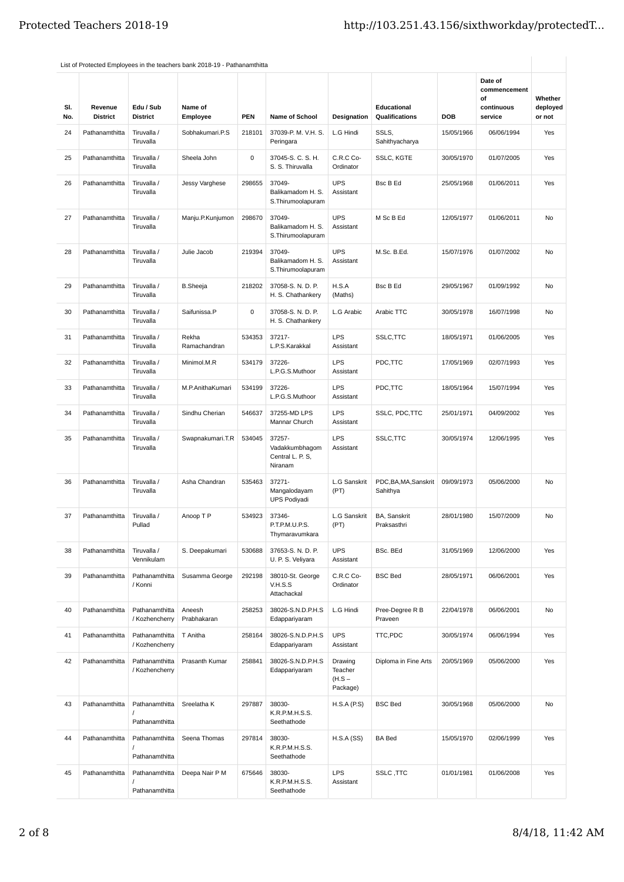| SI.<br>No. | Revenue<br><b>District</b> | Edu / Sub<br><b>District</b>     | Name of<br>Employee   | <b>PEN</b> | <b>Name of School</b>                                   | <b>Designation</b>                         | Educational<br>Qualifications     | <b>DOB</b> | Date of<br>commencement<br>of<br>continuous<br>service | Whether<br>deployed<br>or not |
|------------|----------------------------|----------------------------------|-----------------------|------------|---------------------------------------------------------|--------------------------------------------|-----------------------------------|------------|--------------------------------------------------------|-------------------------------|
| 24         | Pathanamthitta             | Tiruvalla /<br>Tiruvalla         | Sobhakumari.P.S       | 218101     | 37039-P. M. V.H. S.<br>Peringara                        | L.G Hindi                                  | SSLS,<br>Sahithyacharya           | 15/05/1966 | 06/06/1994                                             | Yes                           |
| 25         | Pathanamthitta             | Tiruvalla /<br>Tiruvalla         | Sheela John           | 0          | 37045-S. C. S. H.<br>S. S. Thiruvalla                   | C.R.C Co-<br>Ordinator                     | SSLC, KGTE                        | 30/05/1970 | 01/07/2005                                             | Yes                           |
| 26         | Pathanamthitta             | Tiruvalla /<br>Tiruvalla         | Jessy Varghese        | 298655     | 37049-<br>Balikamadom H. S.<br>S. Thirumoolapuram       | <b>UPS</b><br>Assistant                    | <b>Bsc B Ed</b>                   | 25/05/1968 | 01/06/2011                                             | Yes                           |
| 27         | Pathanamthitta             | Tiruvalla /<br>Tiruvalla         | Manju.P.Kunjumon      | 298670     | 37049-<br>Balikamadom H. S.<br>S. Thirumoolapuram       | <b>UPS</b><br>Assistant                    | M Sc B Ed                         | 12/05/1977 | 01/06/2011                                             | No                            |
| 28         | Pathanamthitta             | Tiruvalla /<br>Tiruvalla         | Julie Jacob           | 219394     | 37049-<br>Balikamadom H. S.<br>S. Thirumoolapuram       | <b>UPS</b><br>Assistant                    | M.Sc. B.Ed.                       | 15/07/1976 | 01/07/2002                                             | No                            |
| 29         | Pathanamthitta             | Tiruvalla /<br>Tiruvalla         | <b>B.Sheeja</b>       | 218202     | 37058-S. N. D. P.<br>H. S. Chathankerv                  | H.S.A<br>(Maths)                           | Bsc B Ed                          | 29/05/1967 | 01/09/1992                                             | <b>No</b>                     |
| 30         | Pathanamthitta             | Tiruvalla /<br>Tiruvalla         | Saifunissa.P          | 0          | 37058-S. N. D. P.<br>H. S. Chathankery                  | L.G Arabic                                 | Arabic TTC                        | 30/05/1978 | 16/07/1998                                             | No                            |
| 31         | Pathanamthitta             | Tiruvalla /<br>Tiruvalla         | Rekha<br>Ramachandran | 534353     | 37217-<br>L.P.S.Karakkal                                | <b>LPS</b><br>Assistant                    | SSLC, TTC                         | 18/05/1971 | 01/06/2005                                             | Yes                           |
| 32         | Pathanamthitta             | Tiruvalla /<br>Tiruvalla         | Minimol.M.R           | 534179     | 37226-<br>L.P.G.S.Muthoor                               | <b>LPS</b><br>Assistant                    | PDC,TTC                           | 17/05/1969 | 02/07/1993                                             | Yes                           |
| 33         | Pathanamthitta             | Tiruvalla /<br>Tiruvalla         | M.P.AnithaKumari      | 534199     | 37226-<br>L.P.G.S.Muthoor                               | <b>LPS</b><br>Assistant                    | PDC,TTC                           | 18/05/1964 | 15/07/1994                                             | Yes                           |
| 34         | Pathanamthitta             | Tiruvalla /<br>Tiruvalla         | Sindhu Cherian        | 546637     | 37255-MD LPS<br>Mannar Church                           | <b>LPS</b><br>Assistant                    | SSLC, PDC, TTC                    | 25/01/1971 | 04/09/2002                                             | Yes                           |
| 35         | Pathanamthitta             | Tiruvalla /<br>Tiruvalla         | Swapnakumari.T.R      | 534045     | 37257-<br>Vadakkumbhagom<br>Central L. P. S,<br>Niranam | <b>LPS</b><br>Assistant                    | SSLC, TTC                         | 30/05/1974 | 12/06/1995                                             | Yes                           |
| 36         | Pathanamthitta             | Tiruvalla /<br>Tiruvalla         | Asha Chandran         | 535463     | 37271-<br>Mangalodayam<br><b>UPS Podiyadi</b>           | L.G Sanskrit<br>(PT)                       | PDC, BA, MA, Sanskrit<br>Sahithya | 09/09/1973 | 05/06/2000                                             | No                            |
| 37         | Pathanamthitta             | Tiruvalla /<br>Pullad            | Anoop T P             | 534923     | 37346-<br>P.T.P.M.U.P.S.<br>Thymaravumkara              | L.G Sanskrit<br>(PT)                       | BA, Sanskrit<br>Praksasthri       | 28/01/1980 | 15/07/2009                                             | No                            |
| 38         | Pathanamthitta             | Tiruvalla /<br>Vennikulam        | S. Deepakumari        | 530688     | 37653-S. N. D. P.<br>U. P. S. Veliyara                  | <b>UPS</b><br>Assistant                    | BSc. BEd                          | 31/05/1969 | 12/06/2000                                             | Yes                           |
| 39         | Pathanamthitta             | Pathanamthitta<br>/ Konni        | Susamma George        | 292198     | 38010-St. George<br>V.H.S.S<br>Attachackal              | C.R.C Co-<br>Ordinator                     | <b>BSC Bed</b>                    | 28/05/1971 | 06/06/2001                                             | Yes                           |
| 40         | Pathanamthitta             | Pathanamthitta<br>/ Kozhencherry | Aneesh<br>Prabhakaran | 258253     | 38026-S.N.D.P.H.S<br>Edappariyaram                      | L.G Hindi                                  | Pree-Degree R B<br>Praveen        | 22/04/1978 | 06/06/2001                                             | No                            |
| 41         | Pathanamthitta             | Pathanamthitta<br>/ Kozhencherry | T Anitha              | 258164     | 38026-S.N.D.P.H.S<br>Edappariyaram                      | <b>UPS</b><br>Assistant                    | TTC,PDC                           | 30/05/1974 | 06/06/1994                                             | Yes                           |
| 42         | Pathanamthitta             | Pathanamthitta<br>/ Kozhencherry | Prasanth Kumar        | 258841     | 38026-S.N.D.P.H.S<br>Edappariyaram                      | Drawing<br>Teacher<br>$(H.S -$<br>Package) | Diploma in Fine Arts              | 20/05/1969 | 05/06/2000                                             | Yes                           |
| 43         | Pathanamthitta             | Pathanamthitta<br>Pathanamthitta | Sreelatha K           | 297887     | 38030-<br>K.R.P.M.H.S.S.<br>Seethathode                 | H.S.A(P.S)                                 | <b>BSC Bed</b>                    | 30/05/1968 | 05/06/2000                                             | No                            |
| 44         | Pathanamthitta             | Pathanamthitta<br>Pathanamthitta | Seena Thomas          | 297814     | 38030-<br>K.R.P.M.H.S.S.<br>Seethathode                 | H.S.A(SS)                                  | <b>BA Bed</b>                     | 15/05/1970 | 02/06/1999                                             | Yes                           |
| 45         | Pathanamthitta             | Pathanamthitta<br>Pathanamthitta | Deepa Nair P M        | 675646     | 38030-<br>K.R.P.M.H.S.S.<br>Seethathode                 | LPS<br>Assistant                           | SSLC, TTC                         | 01/01/1981 | 01/06/2008                                             | Yes                           |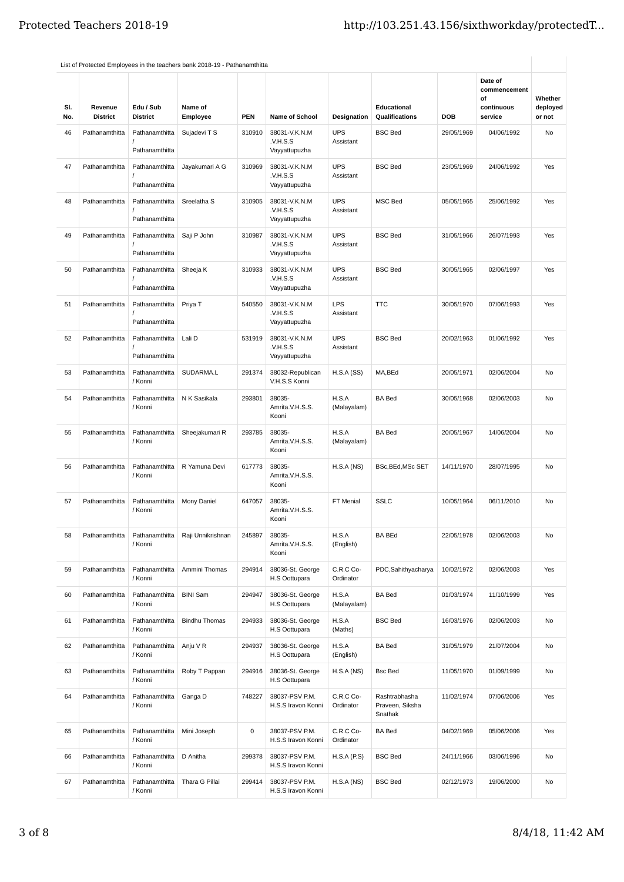| SI.<br>No. | Revenue<br><b>District</b> | Edu / Sub<br><b>District</b>     | Name of<br>Employee  | <b>PEN</b> | <b>Name of School</b>                      | Designation             | Educational<br>Qualifications               | <b>DOB</b> | Date of<br>commencement<br>οf<br>continuous<br>service | Whether<br>deployed<br>or not |
|------------|----------------------------|----------------------------------|----------------------|------------|--------------------------------------------|-------------------------|---------------------------------------------|------------|--------------------------------------------------------|-------------------------------|
| 46         | Pathanamthitta             | Pathanamthitta<br>Pathanamthitta | Sujadevi T S         | 310910     | 38031-V.K.N.M<br>.V.H.S.S<br>Vayyattupuzha | <b>UPS</b><br>Assistant | <b>BSC Bed</b>                              | 29/05/1969 | 04/06/1992                                             | No                            |
| 47         | Pathanamthitta             | Pathanamthitta<br>Pathanamthitta | Jayakumari A G       | 310969     | 38031-V.K.N.M<br>.V.H.S.S<br>Vayyattupuzha | <b>UPS</b><br>Assistant | <b>BSC Bed</b>                              | 23/05/1969 | 24/06/1992                                             | Yes                           |
| 48         | Pathanamthitta             | Pathanamthitta<br>Pathanamthitta | Sreelatha S          | 310905     | 38031-V.K.N.M<br>.V.H.S.S<br>Vayyattupuzha | <b>UPS</b><br>Assistant | MSC Bed                                     | 05/05/1965 | 25/06/1992                                             | Yes                           |
| 49         | Pathanamthitta             | Pathanamthitta<br>Pathanamthitta | Saji P John          | 310987     | 38031-V.K.N.M<br>.V.H.S.S<br>Vayyattupuzha | <b>UPS</b><br>Assistant | <b>BSC Bed</b>                              | 31/05/1966 | 26/07/1993                                             | Yes                           |
| 50         | Pathanamthitta             | Pathanamthitta<br>Pathanamthitta | Sheeja K             | 310933     | 38031-V.K.N.M<br>.V.H.S.S<br>Vayyattupuzha | <b>UPS</b><br>Assistant | <b>BSC Bed</b>                              | 30/05/1965 | 02/06/1997                                             | Yes                           |
| 51         | Pathanamthitta             | Pathanamthitta<br>Pathanamthitta | Priya T              | 540550     | 38031-V.K.N.M<br>.V.H.S.S<br>Vayyattupuzha | <b>LPS</b><br>Assistant | <b>TTC</b>                                  | 30/05/1970 | 07/06/1993                                             | Yes                           |
| 52         | Pathanamthitta             | Pathanamthitta<br>Pathanamthitta | Lali D               | 531919     | 38031-V.K.N.M<br>.V.H.S.S<br>Vayyattupuzha | <b>UPS</b><br>Assistant | <b>BSC Bed</b>                              | 20/02/1963 | 01/06/1992                                             | Yes                           |
| 53         | Pathanamthitta             | Pathanamthitta<br>/ Konni        | SUDARMA.L            | 291374     | 38032-Republican<br>V.H.S.S Konni          | H.S.A(SS)               | MA, BEd                                     | 20/05/1971 | 02/06/2004                                             | <b>No</b>                     |
| 54         | Pathanamthitta             | Pathanamthitta<br>/ Konni        | N K Sasikala         | 293801     | 38035-<br>Amrita.V.H.S.S.<br>Kooni         | H.S.A<br>(Malayalam)    | <b>BA Bed</b>                               | 30/05/1968 | 02/06/2003                                             | <b>No</b>                     |
| 55         | Pathanamthitta             | Pathanamthitta<br>/ Konni        | Sheejakumari R       | 293785     | 38035-<br>Amrita.V.H.S.S.<br>Kooni         | H.S.A<br>(Malayalam)    | <b>BA Bed</b>                               | 20/05/1967 | 14/06/2004                                             | <b>No</b>                     |
| 56         | Pathanamthitta             | Pathanamthitta<br>/ Konni        | R Yamuna Devi        | 617773     | 38035-<br>Amrita.V.H.S.S.<br>Kooni         | H.S.A(NS)               | BSc, BEd, MSc SET                           | 14/11/1970 | 28/07/1995                                             | No                            |
| 57         | Pathanamthitta             | Pathanamthitta<br>/ Konni        | Mony Daniel          | 647057     | 38035-<br>Amrita.V.H.S.S.<br>Kooni         | FT Menial               | <b>SSLC</b>                                 | 10/05/1964 | 06/11/2010                                             | No                            |
| 58         | Pathanamthitta             | Pathanamthitta<br>/ Konni        | Raji Unnikrishnan    | 245897     | 38035-<br>Amrita.V.H.S.S.<br>Kooni         | H.S.A<br>(English)      | <b>BA BEd</b>                               | 22/05/1978 | 02/06/2003                                             | No                            |
| 59         | Pathanamthitta             | Pathanamthitta<br>/ Konni        | Ammini Thomas        | 294914     | 38036-St. George<br>H.S Oottupara          | C.R.C Co-<br>Ordinator  | PDC, Sahithyacharya                         | 10/02/1972 | 02/06/2003                                             | Yes                           |
| 60         | Pathanamthitta             | Pathanamthitta<br>/ Konni        | <b>BINI Sam</b>      | 294947     | 38036-St. George<br>H.S Oottupara          | H.S.A<br>(Malayalam)    | <b>BA Bed</b>                               | 01/03/1974 | 11/10/1999                                             | Yes                           |
| 61         | Pathanamthitta             | Pathanamthitta<br>/ Konni        | <b>Bindhu Thomas</b> | 294933     | 38036-St. George<br>H.S Oottupara          | H.S.A<br>(Maths)        | <b>BSC Bed</b>                              | 16/03/1976 | 02/06/2003                                             | No                            |
| 62         | Pathanamthitta             | Pathanamthitta<br>/ Konni        | Anju V R             | 294937     | 38036-St. George<br>H.S Oottupara          | H.S.A<br>(English)      | <b>BA Bed</b>                               | 31/05/1979 | 21/07/2004                                             | No                            |
| 63         | Pathanamthitta             | Pathanamthitta<br>/ Konni        | Roby T Pappan        | 294916     | 38036-St. George<br>H.S Oottupara          | H.S.A(NS)               | <b>Bsc Bed</b>                              | 11/05/1970 | 01/09/1999                                             | No                            |
| 64         | Pathanamthitta             | Pathanamthitta<br>/ Konni        | Ganga D              | 748227     | 38037-PSV P.M.<br>H.S.S Iravon Konni       | C.R.C Co-<br>Ordinator  | Rashtrabhasha<br>Praveen, Siksha<br>Snathak | 11/02/1974 | 07/06/2006                                             | Yes                           |
| 65         | Pathanamthitta             | Pathanamthitta<br>/ Konni        | Mini Joseph          | 0          | 38037-PSV P.M.<br>H.S.S Iravon Konni       | C.R.C Co-<br>Ordinator  | <b>BA Bed</b>                               | 04/02/1969 | 05/06/2006                                             | Yes                           |
| 66         | Pathanamthitta             | Pathanamthitta<br>/ Konni        | D Anitha             | 299378     | 38037-PSV P.M.<br>H.S.S Iravon Konni       | H.S.A(P.S)              | <b>BSC Bed</b>                              | 24/11/1966 | 03/06/1996                                             | No                            |
| 67         | Pathanamthitta             | Pathanamthitta<br>/ Konni        | Thara G Pillai       | 299414     | 38037-PSV P.M.<br>H.S.S Iravon Konni       | H.S.A(NS)               | <b>BSC Bed</b>                              | 02/12/1973 | 19/06/2000                                             | No                            |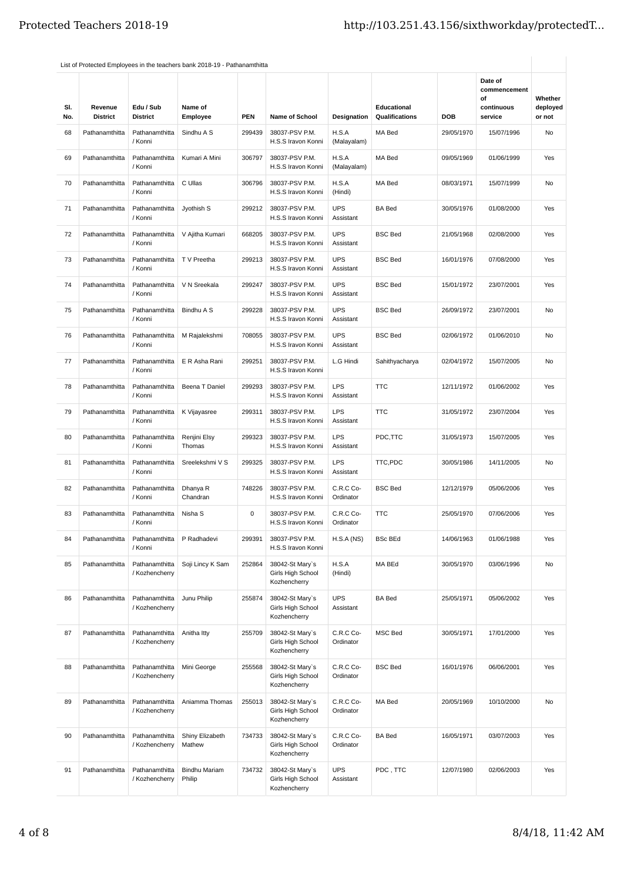| SI.<br>No. | Revenue<br><b>District</b> | Edu / Sub<br><b>District</b>     | Name of<br>Employee            | <b>PEN</b> | Name of School                                       | Designation             | Educational<br><b>Qualifications</b> | <b>DOB</b> | Date of<br>commencement<br>οf<br>continuous<br>service | Whether<br>deployed<br>or not |
|------------|----------------------------|----------------------------------|--------------------------------|------------|------------------------------------------------------|-------------------------|--------------------------------------|------------|--------------------------------------------------------|-------------------------------|
| 68         | Pathanamthitta             | Pathanamthitta<br>/ Konni        | Sindhu A S                     | 299439     | 38037-PSV P.M.<br>H.S.S Iravon Konni                 | H.S.A<br>(Malayalam)    | MA Bed                               | 29/05/1970 | 15/07/1996                                             | No                            |
| 69         | Pathanamthitta             | Pathanamthitta<br>/ Konni        | Kumari A Mini                  | 306797     | 38037-PSV P.M.<br>H.S.S Iravon Konni                 | H.S.A<br>(Malayalam)    | MA Bed                               | 09/05/1969 | 01/06/1999                                             | Yes                           |
| 70         | Pathanamthitta             | Pathanamthitta<br>/ Konni        | C Ullas                        | 306796     | 38037-PSV P.M.<br>H.S.S Iravon Konni                 | H.S.A<br>(Hindi)        | MA Bed                               | 08/03/1971 | 15/07/1999                                             | No                            |
| 71         | Pathanamthitta             | Pathanamthitta<br>/ Konni        | Jyothish S                     | 299212     | 38037-PSV P.M.<br>H.S.S Iravon Konni                 | <b>UPS</b><br>Assistant | <b>BA Bed</b>                        | 30/05/1976 | 01/08/2000                                             | Yes                           |
| 72         | Pathanamthitta             | Pathanamthitta<br>/ Konni        | V Ajitha Kumari                | 668205     | 38037-PSV P.M.<br>H.S.S Iravon Konni                 | <b>UPS</b><br>Assistant | <b>BSC Bed</b>                       | 21/05/1968 | 02/08/2000                                             | Yes                           |
| 73         | Pathanamthitta             | Pathanamthitta<br>/ Konni        | T V Preetha                    | 299213     | 38037-PSV P.M.<br>H.S.S Iravon Konni                 | <b>UPS</b><br>Assistant | <b>BSC Bed</b>                       | 16/01/1976 | 07/08/2000                                             | Yes                           |
| 74         | Pathanamthitta             | Pathanamthitta<br>/ Konni        | V N Sreekala                   | 299247     | 38037-PSV P.M.<br>H.S.S Iravon Konni                 | <b>UPS</b><br>Assistant | <b>BSC Bed</b>                       | 15/01/1972 | 23/07/2001                                             | Yes                           |
| 75         | Pathanamthitta             | Pathanamthitta<br>/ Konni        | Bindhu A S                     | 299228     | 38037-PSV P.M.<br>H.S.S Iravon Konni                 | <b>UPS</b><br>Assistant | <b>BSC Bed</b>                       | 26/09/1972 | 23/07/2001                                             | No                            |
| 76         | Pathanamthitta             | Pathanamthitta<br>/ Konni        | M Rajalekshmi                  | 708055     | 38037-PSV P.M.<br>H.S.S Iravon Konni                 | <b>UPS</b><br>Assistant | <b>BSC Bed</b>                       | 02/06/1972 | 01/06/2010                                             | No                            |
| 77         | Pathanamthitta             | Pathanamthitta<br>/ Konni        | E R Asha Rani                  | 299251     | 38037-PSV P.M.<br>H.S.S Iravon Konni                 | L.G Hindi               | Sahithyacharya                       | 02/04/1972 | 15/07/2005                                             | No                            |
| 78         | Pathanamthitta             | Pathanamthitta<br>/ Konni        | Beena T Daniel                 | 299293     | 38037-PSV P.M.<br>H.S.S Iravon Konni                 | <b>LPS</b><br>Assistant | <b>TTC</b>                           | 12/11/1972 | 01/06/2002                                             | Yes                           |
| 79         | Pathanamthitta             | Pathanamthitta<br>/ Konni        | K Vijayasree                   | 299311     | 38037-PSV P.M.<br>H.S.S Iravon Konni                 | <b>LPS</b><br>Assistant | <b>TTC</b>                           | 31/05/1972 | 23/07/2004                                             | Yes                           |
| 80         | Pathanamthitta             | Pathanamthitta<br>/ Konni        | Renjini Elsy<br>Thomas         | 299323     | 38037-PSV P.M.<br>H.S.S Iravon Konni                 | <b>LPS</b><br>Assistant | PDC,TTC                              | 31/05/1973 | 15/07/2005                                             | Yes                           |
| 81         | Pathanamthitta             | Pathanamthitta<br>/ Konni        | Sreelekshmi V S                | 299325     | 38037-PSV P.M.<br>H.S.S Iravon Konni                 | <b>LPS</b><br>Assistant | TTC,PDC                              | 30/05/1986 | 14/11/2005                                             | No                            |
| 82         | Pathanamthitta             | Pathanamthitta<br>/ Konni        | Dhanya R<br>Chandran           | 748226     | 38037-PSV P.M.<br>H.S.S Iravon Konni                 | C.R.C Co-<br>Ordinator  | <b>BSC Bed</b>                       | 12/12/1979 | 05/06/2006                                             | Yes                           |
| 83         | Pathanamthitta             | Pathanamthitta<br>/ Konni        | Nisha S                        | 0          | 38037-PSV P.M.<br>H.S.S Iravon Konni                 | C.R.C Co-<br>Ordinator  | <b>TTC</b>                           | 25/05/1970 | 07/06/2006                                             | Yes                           |
| 84         | Pathanamthitta             | Pathanamthitta<br>/ Konni        | P Radhadevi                    | 299391     | 38037-PSV P.M.<br>H.S.S Iravon Konni                 | H.S.A(NS)               | <b>BSc BEd</b>                       | 14/06/1963 | 01/06/1988                                             | Yes                           |
| 85         | Pathanamthitta             | Pathanamthitta<br>/ Kozhencherry | Soji Lincy K Sam               | 252864     | 38042-St Mary's<br>Girls High School<br>Kozhencherry | H.S.A<br>(Hindi)        | MA BEd                               | 30/05/1970 | 03/06/1996                                             | No                            |
| 86         | Pathanamthitta             | Pathanamthitta<br>/ Kozhencherry | Junu Philip                    | 255874     | 38042-St Mary's<br>Girls High School<br>Kozhencherry | <b>UPS</b><br>Assistant | <b>BA Bed</b>                        | 25/05/1971 | 05/06/2002                                             | Yes                           |
| 87         | Pathanamthitta             | Pathanamthitta<br>/ Kozhencherry | Anitha Itty                    | 255709     | 38042-St Mary's<br>Girls High School<br>Kozhencherry | C.R.C Co-<br>Ordinator  | MSC Bed                              | 30/05/1971 | 17/01/2000                                             | Yes                           |
| 88         | Pathanamthitta             | Pathanamthitta<br>/ Kozhencherry | Mini George                    | 255568     | 38042-St Mary's<br>Girls High School<br>Kozhencherry | C.R.C Co-<br>Ordinator  | <b>BSC Bed</b>                       | 16/01/1976 | 06/06/2001                                             | Yes                           |
| 89         | Pathanamthitta             | Pathanamthitta<br>/ Kozhencherry | Aniamma Thomas                 | 255013     | 38042-St Mary's<br>Girls High School<br>Kozhencherry | C.R.C Co-<br>Ordinator  | MA Bed                               | 20/05/1969 | 10/10/2000                                             | No                            |
| 90         | Pathanamthitta             | Pathanamthitta<br>/ Kozhencherry | Shiny Elizabeth<br>Mathew      | 734733     | 38042-St Mary's<br>Girls High School<br>Kozhencherry | C.R.C Co-<br>Ordinator  | <b>BA Bed</b>                        | 16/05/1971 | 03/07/2003                                             | Yes                           |
| 91         | Pathanamthitta             | Pathanamthitta<br>/ Kozhencherry | <b>Bindhu Mariam</b><br>Philip | 734732     | 38042-St Mary's<br>Girls High School<br>Kozhencherry | <b>UPS</b><br>Assistant | PDC, TTC                             | 12/07/1980 | 02/06/2003                                             | Yes                           |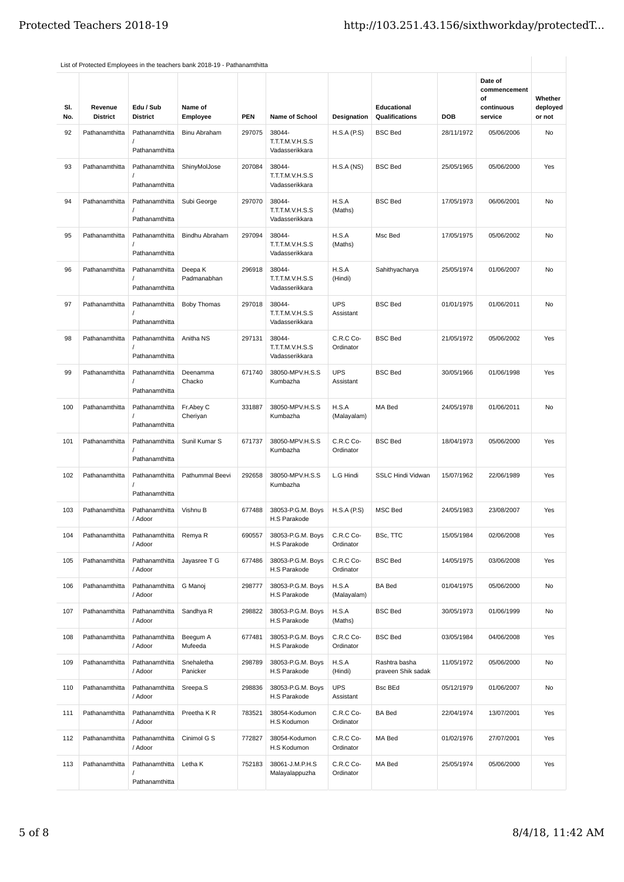| SI.<br>No. | Revenue<br><b>District</b> | Edu / Sub<br><b>District</b>     | Name of<br>Employee    | <b>PEN</b> | <b>Name of School</b>                       | Designation             | Educational<br>Qualifications       | <b>DOB</b> | Date of<br>commencement<br>οf<br>continuous<br>service | Whether<br>deployed<br>or not |
|------------|----------------------------|----------------------------------|------------------------|------------|---------------------------------------------|-------------------------|-------------------------------------|------------|--------------------------------------------------------|-------------------------------|
| 92         | Pathanamthitta             | Pathanamthitta<br>Pathanamthitta | <b>Binu Abraham</b>    | 297075     | 38044-<br>T.T.T.M.V.H.S.S<br>Vadasserikkara | H.S.A(P.S)              | <b>BSC Bed</b>                      | 28/11/1972 | 05/06/2006                                             | No                            |
| 93         | Pathanamthitta             | Pathanamthitta<br>Pathanamthitta | ShinyMolJose           | 207084     | 38044-<br>T.T.T.M.V.H.S.S<br>Vadasserikkara | H.S.A(NS)               | <b>BSC Bed</b>                      | 25/05/1965 | 05/06/2000                                             | Yes                           |
| 94         | Pathanamthitta             | Pathanamthitta<br>Pathanamthitta | Subi George            | 297070     | 38044-<br>T.T.T.M.V.H.S.S<br>Vadasserikkara | H.S.A<br>(Maths)        | <b>BSC Bed</b>                      | 17/05/1973 | 06/06/2001                                             | <b>No</b>                     |
| 95         | Pathanamthitta             | Pathanamthitta<br>Pathanamthitta | Bindhu Abraham         | 297094     | 38044-<br>T.T.T.M.V.H.S.S<br>Vadasserikkara | H.S.A<br>(Maths)        | Msc Bed                             | 17/05/1975 | 05/06/2002                                             | No                            |
| 96         | Pathanamthitta             | Pathanamthitta<br>Pathanamthitta | Deepa K<br>Padmanabhan | 296918     | 38044-<br>T.T.T.M.V.H.S.S<br>Vadasserikkara | H.S.A<br>(Hindi)        | Sahithyacharya                      | 25/05/1974 | 01/06/2007                                             | No                            |
| 97         | Pathanamthitta             | Pathanamthitta<br>Pathanamthitta | <b>Boby Thomas</b>     | 297018     | 38044-<br>T.T.T.M.V.H.S.S<br>Vadasserikkara | <b>UPS</b><br>Assistant | <b>BSC Bed</b>                      | 01/01/1975 | 01/06/2011                                             | <b>No</b>                     |
| 98         | Pathanamthitta             | Pathanamthitta<br>Pathanamthitta | Anitha NS              | 297131     | 38044-<br>T.T.T.M.V.H.S.S<br>Vadasserikkara | C.R.C Co-<br>Ordinator  | <b>BSC Bed</b>                      | 21/05/1972 | 05/06/2002                                             | Yes                           |
| 99         | Pathanamthitta             | Pathanamthitta<br>Pathanamthitta | Deenamma<br>Chacko     | 671740     | 38050-MPV.H.S.S<br>Kumbazha                 | <b>UPS</b><br>Assistant | <b>BSC Bed</b>                      | 30/05/1966 | 01/06/1998                                             | Yes                           |
| 100        | Pathanamthitta             | Pathanamthitta<br>Pathanamthitta | Fr.Abey C<br>Cheriyan  | 331887     | 38050-MPV.H.S.S<br>Kumbazha                 | H.S.A<br>(Malayalam)    | MA Bed                              | 24/05/1978 | 01/06/2011                                             | No                            |
| 101        | Pathanamthitta             | Pathanamthitta<br>Pathanamthitta | Sunil Kumar S          | 671737     | 38050-MPV.H.S.S<br>Kumbazha                 | C.R.C Co-<br>Ordinator  | <b>BSC Bed</b>                      | 18/04/1973 | 05/06/2000                                             | Yes                           |
| 102        | Pathanamthitta             | Pathanamthitta<br>Pathanamthitta | Pathummal Beevi        | 292658     | 38050-MPV.H.S.S<br>Kumbazha                 | L.G Hindi               | <b>SSLC Hindi Vidwan</b>            | 15/07/1962 | 22/06/1989                                             | Yes                           |
| 103        | Pathanamthitta             | Pathanamthitta<br>/ Adoor        | Vishnu B               | 677488     | 38053-P.G.M. Boys<br>H.S Parakode           | H.S.A(P.S)              | MSC Bed                             | 24/05/1983 | 23/08/2007                                             | Yes                           |
| 104        | Pathanamthitta             | Pathanamthitta<br>/ Adoor        | Remya R                | 690557     | 38053-P.G.M. Boys<br>H.S Parakode           | C.R.C Co-<br>Ordinator  | BSc, TTC                            | 15/05/1984 | 02/06/2008                                             | Yes                           |
| 105        | Pathanamthitta             | Pathanamthitta<br>/ Adoor        | Jayasree T G           | 677486     | 38053-P.G.M. Boys<br>H.S Parakode           | C.R.C Co-<br>Ordinator  | <b>BSC Bed</b>                      | 14/05/1975 | 03/06/2008                                             | Yes                           |
| 106        | Pathanamthitta             | Pathanamthitta<br>/ Adoor        | G Manoi                | 298777     | 38053-P.G.M. Boys<br>H.S Parakode           | H.S.A<br>(Malayalam)    | <b>BA Bed</b>                       | 01/04/1975 | 05/06/2000                                             | No                            |
| 107        | Pathanamthitta             | Pathanamthitta<br>/ Adoor        | Sandhya R              | 298822     | 38053-P.G.M. Boys<br>H.S Parakode           | H.S.A<br>(Maths)        | <b>BSC Bed</b>                      | 30/05/1973 | 01/06/1999                                             | No                            |
| 108        | Pathanamthitta             | Pathanamthitta<br>/ Adoor        | Beegum A<br>Mufeeda    | 677481     | 38053-P.G.M. Boys<br>H.S Parakode           | C.R.C Co-<br>Ordinator  | <b>BSC Bed</b>                      | 03/05/1984 | 04/06/2008                                             | Yes                           |
| 109        | Pathanamthitta             | Pathanamthitta<br>/ Adoor        | Snehaletha<br>Panicker | 298789     | 38053-P.G.M. Boys<br>H.S Parakode           | H.S.A<br>(Hindi)        | Rashtra basha<br>praveen Shik sadak | 11/05/1972 | 05/06/2000                                             | No                            |
| 110        | Pathanamthitta             | Pathanamthitta<br>/ Adoor        | Sreepa.S               | 298836     | 38053-P.G.M. Boys<br>H.S Parakode           | <b>UPS</b><br>Assistant | <b>Bsc BEd</b>                      | 05/12/1979 | 01/06/2007                                             | No                            |
| 111        | Pathanamthitta             | Pathanamthitta<br>/ Adoor        | Preetha K R            | 783521     | 38054-Kodumon<br>H.S Kodumon                | C.R.C Co-<br>Ordinator  | <b>BA Bed</b>                       | 22/04/1974 | 13/07/2001                                             | Yes                           |
| 112        | Pathanamthitta             | Pathanamthitta<br>/ Adoor        | Cinimol G S            | 772827     | 38054-Kodumon<br>H.S Kodumon                | C.R.C Co-<br>Ordinator  | MA Bed                              | 01/02/1976 | 27/07/2001                                             | Yes                           |
| 113        | Pathanamthitta             | Pathanamthitta<br>Pathanamthitta | Letha K                | 752183     | 38061-J.M.P.H.S<br>Malayalappuzha           | C.R.C Co-<br>Ordinator  | MA Bed                              | 25/05/1974 | 05/06/2000                                             | Yes                           |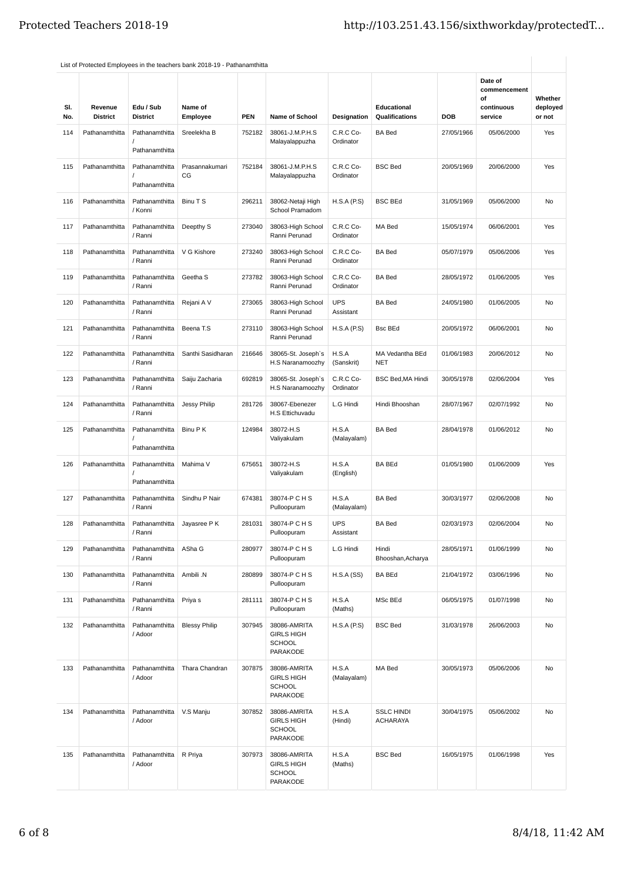| SI.<br>No. | Revenue<br><b>District</b> | Edu / Sub<br><b>District</b>     | Name of<br>Employee  | <b>PEN</b> | <b>Name of School</b>                                          | Designation             | Educational<br><b>Qualifications</b> | <b>DOB</b> | Date of<br>commencement<br>of<br>continuous<br>service | Whether<br>deployed<br>or not |
|------------|----------------------------|----------------------------------|----------------------|------------|----------------------------------------------------------------|-------------------------|--------------------------------------|------------|--------------------------------------------------------|-------------------------------|
| 114        | Pathanamthitta             | Pathanamthitta<br>Pathanamthitta | Sreelekha B          | 752182     | 38061-J.M.P.H.S<br>Malayalappuzha                              | C.R.C Co-<br>Ordinator  | <b>BA Bed</b>                        | 27/05/1966 | 05/06/2000                                             | Yes                           |
| 115        | Pathanamthitta             | Pathanamthitta<br>Pathanamthitta | Prasannakumari<br>CG | 752184     | 38061-J.M.P.H.S<br>Malayalappuzha                              | C.R.C Co-<br>Ordinator  | <b>BSC Bed</b>                       | 20/05/1969 | 20/06/2000                                             | Yes                           |
| 116        | Pathanamthitta             | Pathanamthitta<br>/ Konni        | Binu T S             | 296211     | 38062-Netaji High<br>School Pramadom                           | H.S.A(P.S)              | <b>BSC BEd</b>                       | 31/05/1969 | 05/06/2000                                             | No                            |
| 117        | Pathanamthitta             | Pathanamthitta<br>/ Ranni        | Deepthy S            | 273040     | 38063-High School<br>Ranni Perunad                             | C.R.C Co-<br>Ordinator  | MA Bed                               | 15/05/1974 | 06/06/2001                                             | Yes                           |
| 118        | Pathanamthitta             | Pathanamthitta<br>/ Ranni        | V G Kishore          | 273240     | 38063-High School<br>Ranni Perunad                             | C.R.C Co-<br>Ordinator  | <b>BA Bed</b>                        | 05/07/1979 | 05/06/2006                                             | Yes                           |
| 119        | Pathanamthitta             | Pathanamthitta<br>/ Ranni        | Geetha S             | 273782     | 38063-High School<br>Ranni Perunad                             | C.R.C Co-<br>Ordinator  | <b>BA Bed</b>                        | 28/05/1972 | 01/06/2005                                             | Yes                           |
| 120        | Pathanamthitta             | Pathanamthitta<br>/ Ranni        | Rejani A V           | 273065     | 38063-High School<br>Ranni Perunad                             | <b>UPS</b><br>Assistant | <b>BA Bed</b>                        | 24/05/1980 | 01/06/2005                                             | No                            |
| 121        | Pathanamthitta             | Pathanamthitta<br>/ Ranni        | Beena T.S            | 273110     | 38063-High School<br>Ranni Perunad                             | H.S.A(P.S)              | Bsc BEd                              | 20/05/1972 | 06/06/2001                                             | No                            |
| 122        | Pathanamthitta             | Pathanamthitta<br>/ Ranni        | Santhi Sasidharan    | 216646     | 38065-St. Joseph's<br>H.S Naranamoozhy                         | H.S.A<br>(Sanskrit)     | MA Vedantha BEd<br><b>NET</b>        | 01/06/1983 | 20/06/2012                                             | No                            |
| 123        | Pathanamthitta             | Pathanamthitta<br>/ Ranni        | Saiju Zacharia       | 692819     | 38065-St. Joseph's<br>H.S Naranamoozhy                         | C.R.C Co-<br>Ordinator  | <b>BSC Bed, MA Hindi</b>             | 30/05/1978 | 02/06/2004                                             | Yes                           |
| 124        | Pathanamthitta             | Pathanamthitta<br>/ Ranni        | Jessy Philip         | 281726     | 38067-Ebenezer<br>H.S Ettichuvadu                              | L.G Hindi               | Hindi Bhooshan                       | 28/07/1967 | 02/07/1992                                             | No                            |
| 125        | Pathanamthitta             | Pathanamthitta<br>Pathanamthitta | Binu P K             | 124984     | 38072-H.S<br>Valiyakulam                                       | H.S.A<br>(Malayalam)    | <b>BA Bed</b>                        | 28/04/1978 | 01/06/2012                                             | No                            |
| 126        | Pathanamthitta             | Pathanamthitta<br>Pathanamthitta | Mahima V             | 675651     | 38072-H.S<br>Valiyakulam                                       | H.S.A<br>(English)      | BA BEd                               | 01/05/1980 | 01/06/2009                                             | Yes                           |
| 127        | Pathanamthitta             | Pathanamthitta<br>/ Ranni        | Sindhu P Nair        | 674381     | 38074-P C H S<br>Pulloopuram                                   | H.S.A<br>(Malayalam)    | <b>BA Bed</b>                        | 30/03/1977 | 02/06/2008                                             | No                            |
| 128        | Pathanamthitta             | Pathanamthitta<br>/ Ranni        | Jayasree P K         | 281031     | 38074-P C H S<br>Pulloopuram                                   | UPS<br>Assistant        | <b>BA Bed</b>                        | 02/03/1973 | 02/06/2004                                             | No                            |
| 129        | Pathanamthitta             | Pathanamthitta<br>/ Ranni        | ASha G               | 280977     | 38074-P C H S<br>Pulloopuram                                   | L.G Hindi               | Hindi<br>Bhooshan, Acharya           | 28/05/1971 | 01/06/1999                                             | No                            |
| 130        | Pathanamthitta             | Pathanamthitta<br>/ Ranni        | Ambili .N            | 280899     | 38074-P C H S<br>Pulloopuram                                   | H.S.A(SS)               | <b>BA BEd</b>                        | 21/04/1972 | 03/06/1996                                             | No                            |
| 131        | Pathanamthitta             | Pathanamthitta<br>/ Ranni        | Priya s              | 281111     | 38074-P C H S<br>Pulloopuram                                   | H.S.A<br>(Maths)        | MSc BEd                              | 06/05/1975 | 01/07/1998                                             | No                            |
| 132        | Pathanamthitta             | Pathanamthitta<br>/ Adoor        | <b>Blessy Philip</b> | 307945     | 38086-AMRITA<br><b>GIRLS HIGH</b><br><b>SCHOOL</b><br>PARAKODE | H.S.A(P.S)              | <b>BSC Bed</b>                       | 31/03/1978 | 26/06/2003                                             | No                            |
| 133        | Pathanamthitta             | Pathanamthitta<br>/ Adoor        | Thara Chandran       | 307875     | 38086-AMRITA<br><b>GIRLS HIGH</b><br><b>SCHOOL</b><br>PARAKODE | H.S.A<br>(Malayalam)    | MA Bed                               | 30/05/1973 | 05/06/2006                                             | No                            |
| 134        | Pathanamthitta             | Pathanamthitta<br>/ Adoor        | V.S Manju            | 307852     | 38086-AMRITA<br><b>GIRLS HIGH</b><br><b>SCHOOL</b><br>PARAKODE | H.S.A<br>(Hindi)        | <b>SSLC HINDI</b><br><b>ACHARAYA</b> | 30/04/1975 | 05/06/2002                                             | No                            |
| 135        | Pathanamthitta             | Pathanamthitta<br>/ Adoor        | R Priya              | 307973     | 38086-AMRITA<br><b>GIRLS HIGH</b><br><b>SCHOOL</b><br>PARAKODE | H.S.A<br>(Maths)        | <b>BSC Bed</b>                       | 16/05/1975 | 01/06/1998                                             | Yes                           |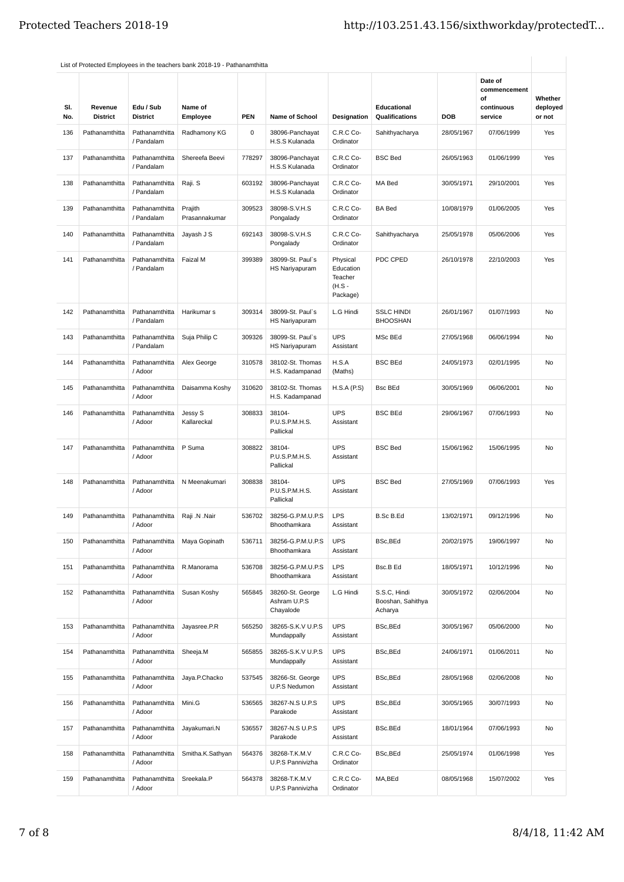| SI.<br>No. | Revenue<br><b>District</b> | Edu / Sub<br><b>District</b> | Name of<br>Employee      | <b>PEN</b> | Name of School                                | <b>Designation</b>                                     | Educational<br>Qualifications                | <b>DOB</b> | Date of<br>commencement<br>of<br>continuous<br>service | Whether<br>deployed<br>or not |
|------------|----------------------------|------------------------------|--------------------------|------------|-----------------------------------------------|--------------------------------------------------------|----------------------------------------------|------------|--------------------------------------------------------|-------------------------------|
| 136        | Pathanamthitta             | Pathanamthitta<br>/ Pandalam | Radhamony KG             | 0          | 38096-Panchayat<br>H.S.S Kulanada             | C.R.C Co-<br>Ordinator                                 | Sahithyacharya                               | 28/05/1967 | 07/06/1999                                             | Yes                           |
| 137        | Pathanamthitta             | Pathanamthitta<br>/ Pandalam | Shereefa Beevi           | 778297     | 38096-Panchayat<br>H.S.S Kulanada             | C.R.C Co-<br>Ordinator                                 | <b>BSC Bed</b>                               | 26/05/1963 | 01/06/1999                                             | Yes                           |
| 138        | Pathanamthitta             | Pathanamthitta<br>/ Pandalam | Raji. S                  | 603192     | 38096-Panchayat<br>H.S.S Kulanada             | C.R.C Co-<br>Ordinator                                 | MA Bed                                       | 30/05/1971 | 29/10/2001                                             | Yes                           |
| 139        | Pathanamthitta             | Pathanamthitta<br>/ Pandalam | Prajith<br>Prasannakumar | 309523     | 38098-S.V.H.S<br>Pongalady                    | C.R.C Co-<br>Ordinator                                 | <b>BA Bed</b>                                | 10/08/1979 | 01/06/2005                                             | Yes                           |
| 140        | Pathanamthitta             | Pathanamthitta<br>/ Pandalam | Jayash J S               | 692143     | 38098-S.V.H.S<br>Pongalady                    | C.R.C Co-<br>Ordinator                                 | Sahithyacharya                               | 25/05/1978 | 05/06/2006                                             | Yes                           |
| 141        | Pathanamthitta             | Pathanamthitta<br>/ Pandalam | Faizal M                 | 399389     | 38099-St. Paul`s<br><b>HS Nariyapuram</b>     | Physical<br>Education<br>Teacher<br>(H.S -<br>Package) | PDC CPED                                     | 26/10/1978 | 22/10/2003                                             | Yes                           |
| 142        | Pathanamthitta             | Pathanamthitta<br>/ Pandalam | Harikumar s              | 309314     | 38099-St. Paul`s<br><b>HS Nariyapuram</b>     | L.G Hindi                                              | <b>SSLC HINDI</b><br><b>BHOOSHAN</b>         | 26/01/1967 | 01/07/1993                                             | No                            |
| 143        | Pathanamthitta             | Pathanamthitta<br>/ Pandalam | Suja Philip C            | 309326     | 38099-St. Paul`s<br>HS Nariyapuram            | <b>UPS</b><br>Assistant                                | MSc BEd                                      | 27/05/1968 | 06/06/1994                                             | No                            |
| 144        | Pathanamthitta             | Pathanamthitta<br>/ Adoor    | Alex George              | 310578     | 38102-St. Thomas<br>H.S. Kadampanad           | H.S.A<br>(Maths)                                       | <b>BSC BEd</b>                               | 24/05/1973 | 02/01/1995                                             | No                            |
| 145        | Pathanamthitta             | Pathanamthitta<br>/ Adoor    | Daisamma Koshy           | 310620     | 38102-St. Thomas<br>H.S. Kadampanad           | H.S.A(P.S)                                             | <b>Bsc BEd</b>                               | 30/05/1969 | 06/06/2001                                             | No                            |
| 146        | Pathanamthitta             | Pathanamthitta<br>/ Adoor    | Jessy S<br>Kallareckal   | 308833     | 38104-<br>P.U.S.P.M.H.S.<br>Pallickal         | <b>UPS</b><br>Assistant                                | <b>BSC BEd</b>                               | 29/06/1967 | 07/06/1993                                             | No                            |
| 147        | Pathanamthitta             | Pathanamthitta<br>/ Adoor    | P Suma                   | 308822     | 38104-<br>P.U.S.P.M.H.S.<br>Pallickal         | <b>UPS</b><br>Assistant                                | <b>BSC Bed</b>                               | 15/06/1962 | 15/06/1995                                             | No                            |
| 148        | Pathanamthitta             | Pathanamthitta<br>/ Adoor    | N Meenakumari            | 308838     | 38104-<br>P.U.S.P.M.H.S.<br>Pallickal         | <b>UPS</b><br>Assistant                                | <b>BSC Bed</b>                               | 27/05/1969 | 07/06/1993                                             | Yes                           |
| 149        | Pathanamthitta             | Pathanamthitta<br>/ Adoor    | Raji .N .Nair            | 536702     | 38256-G.P.M.U.P.S<br>Bhoothamkara             | <b>LPS</b><br>Assistant                                | B.Sc B.Ed                                    | 13/02/1971 | 09/12/1996                                             | No                            |
| 150        | Pathanamthitta             | Pathanamthitta<br>/ Adoor    | Maya Gopinath            | 536711     | 38256-G.P.M.U.P.S<br>Bhoothamkara             | <b>UPS</b><br>Assistant                                | BSc, BEd                                     | 20/02/1975 | 19/06/1997                                             | No                            |
| 151        | Pathanamthitta             | Pathanamthitta<br>/ Adoor    | R.Manorama               | 536708     | 38256-G.P.M.U.P.S<br>Bhoothamkara             | LPS<br>Assistant                                       | Bsc.B Ed                                     | 18/05/1971 | 10/12/1996                                             | No                            |
| 152        | Pathanamthitta             | Pathanamthitta<br>/ Adoor    | Susan Koshy              | 565845     | 38260-St. George<br>Ashram U.P.S<br>Chayalode | L.G Hindi                                              | S.S.C, Hindi<br>Booshan, Sahithya<br>Acharya | 30/05/1972 | 02/06/2004                                             | No                            |
| 153        | Pathanamthitta             | Pathanamthitta<br>/ Adoor    | Jayasree.P.R             | 565250     | 38265-S.K.V U.P.S<br>Mundappally              | <b>UPS</b><br>Assistant                                | BSc, BEd                                     | 30/05/1967 | 05/06/2000                                             | No                            |
| 154        | Pathanamthitta             | Pathanamthitta<br>/ Adoor    | Sheeja.M                 | 565855     | 38265-S.K.V U.P.S<br>Mundappally              | <b>UPS</b><br>Assistant                                | BSc, BEd                                     | 24/06/1971 | 01/06/2011                                             | No                            |
| 155        | Pathanamthitta             | Pathanamthitta<br>/ Adoor    | Jaya.P.Chacko            | 537545     | 38266-St. George<br>U.P.S Nedumon             | <b>UPS</b><br>Assistant                                | BSc, BEd                                     | 28/05/1968 | 02/06/2008                                             | No                            |
| 156        | Pathanamthitta             | Pathanamthitta<br>/ Adoor    | Mini.G                   | 536565     | 38267-N.S U.P.S<br>Parakode                   | <b>UPS</b><br>Assistant                                | BSc, BEd                                     | 30/05/1965 | 30/07/1993                                             | No                            |
| 157        | Pathanamthitta             | Pathanamthitta<br>/ Adoor    | Jayakumari.N             | 536557     | 38267-N.S U.P.S<br>Parakode                   | <b>UPS</b><br>Assistant                                | BSc.BEd                                      | 18/01/1964 | 07/06/1993                                             | No                            |
| 158        | Pathanamthitta             | Pathanamthitta<br>/ Adoor    | Smitha.K.Sathyan         | 564376     | 38268-T.K.M.V<br>U.P.S Pannivizha             | C.R.C Co-<br>Ordinator                                 | BSc, BEd                                     | 25/05/1974 | 01/06/1998                                             | Yes                           |
| 159        | Pathanamthitta             | Pathanamthitta<br>/ Adoor    | Sreekala.P               | 564378     | 38268-T.K.M.V<br>U.P.S Pannivizha             | C.R.C Co-<br>Ordinator                                 | MA, BEd                                      | 08/05/1968 | 15/07/2002                                             | Yes                           |